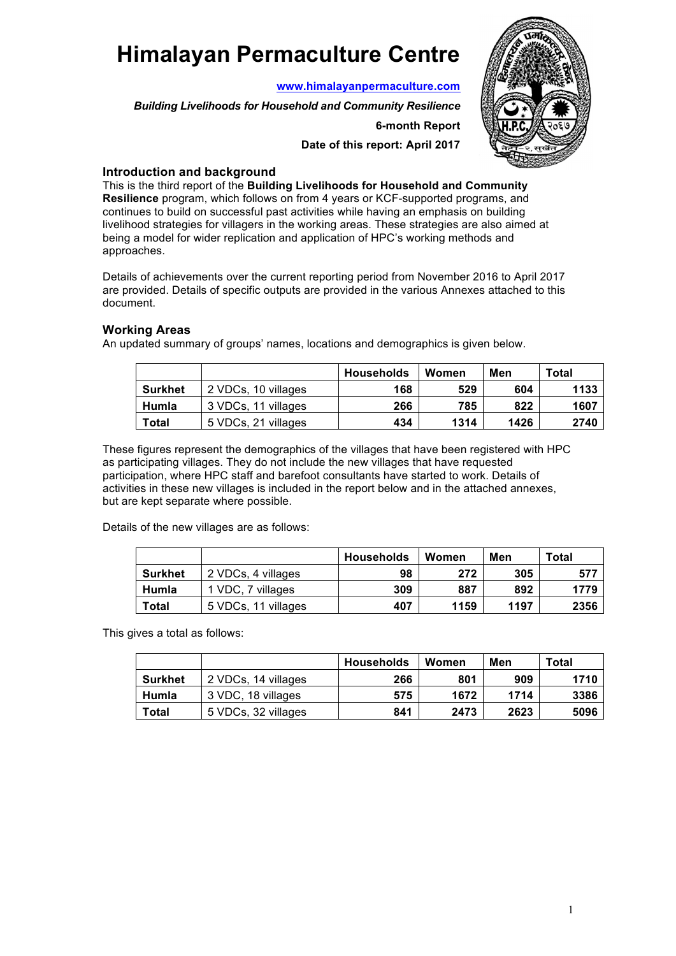# **Himalayan Permaculture Centre**

**www.himalayanpermaculture.com**

*Building Livelihoods for Household and Community Resilience*

#### **6-month Report**

**Date of this report: April 2017**



## **Introduction and background**

This is the third report of the **Building Livelihoods for Household and Community Resilience** program, which follows on from 4 years or KCF-supported programs, and continues to build on successful past activities while having an emphasis on building livelihood strategies for villagers in the working areas. These strategies are also aimed at being a model for wider replication and application of HPC's working methods and approaches.

Details of achievements over the current reporting period from November 2016 to April 2017 are provided. Details of specific outputs are provided in the various Annexes attached to this document.

## **Working Areas**

An updated summary of groups' names, locations and demographics is given below.

|                |                     | <b>Households</b> | Women | Men  | Total |
|----------------|---------------------|-------------------|-------|------|-------|
| <b>Surkhet</b> | 2 VDCs, 10 villages | 168               | 529   | 604  | 1133  |
| Humla          | 3 VDCs, 11 villages | 266               | 785   | 822  | 1607  |
| <b>Total</b>   | 5 VDCs, 21 villages | 434               | 1314  | 1426 | 2740  |

These figures represent the demographics of the villages that have been registered with HPC as participating villages. They do not include the new villages that have requested participation, where HPC staff and barefoot consultants have started to work. Details of activities in these new villages is included in the report below and in the attached annexes, but are kept separate where possible.

Details of the new villages are as follows:

|                |                     | <b>Households</b> | Women | Men  | Total |
|----------------|---------------------|-------------------|-------|------|-------|
| <b>Surkhet</b> | 2 VDCs, 4 villages  | 98                | 272   | 305  | 577   |
| Humla          | 1 VDC, 7 villages   | 309               | 887   | 892  | 1779  |
| Total          | 5 VDCs, 11 villages | 407               | 1159  | 1197 | 2356  |

This gives a total as follows:

|                |                     | <b>Households</b> | Women | Men  | Total |
|----------------|---------------------|-------------------|-------|------|-------|
| <b>Surkhet</b> | 2 VDCs, 14 villages | 266               | 801   | 909  | 1710  |
| Humla          | 3 VDC, 18 villages  | 575               | 1672  | 1714 | 3386  |
| Total          | 5 VDCs, 32 villages | 841               | 2473  | 2623 | 5096  |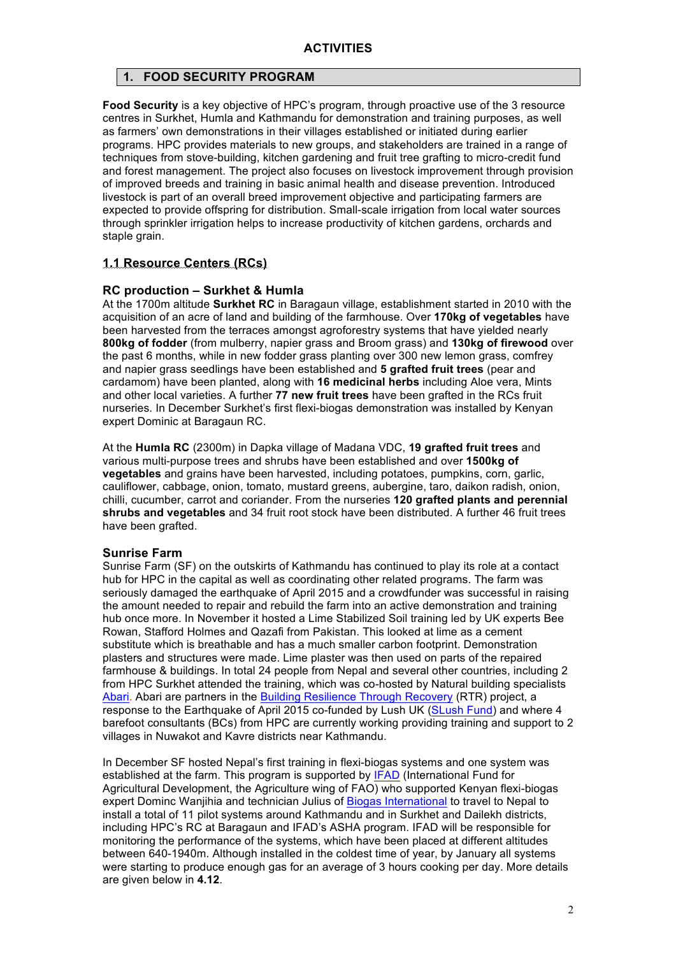## **1. FOOD SECURITY PROGRAM**

**Food Security** is a key objective of HPC's program, through proactive use of the 3 resource centres in Surkhet, Humla and Kathmandu for demonstration and training purposes, as well as farmers' own demonstrations in their villages established or initiated during earlier programs. HPC provides materials to new groups, and stakeholders are trained in a range of techniques from stove-building, kitchen gardening and fruit tree grafting to micro-credit fund and forest management. The project also focuses on livestock improvement through provision of improved breeds and training in basic animal health and disease prevention. Introduced livestock is part of an overall breed improvement objective and participating farmers are expected to provide offspring for distribution. Small-scale irrigation from local water sources through sprinkler irrigation helps to increase productivity of kitchen gardens, orchards and staple grain.

#### **1.1 Resource Centers (RCs)**

#### **RC production – Surkhet & Humla**

At the 1700m altitude **Surkhet RC** in Baragaun village, establishment started in 2010 with the acquisition of an acre of land and building of the farmhouse. Over **170kg of vegetables** have been harvested from the terraces amongst agroforestry systems that have yielded nearly **800kg of fodder** (from mulberry, napier grass and Broom grass) and **130kg of firewood** over the past 6 months, while in new fodder grass planting over 300 new lemon grass, comfrey and napier grass seedlings have been established and **5 grafted fruit trees** (pear and cardamom) have been planted, along with **16 medicinal herbs** including Aloe vera, Mints and other local varieties. A further **77 new fruit trees** have been grafted in the RCs fruit nurseries. In December Surkhet's first flexi-biogas demonstration was installed by Kenyan expert Dominic at Baragaun RC.

At the **Humla RC** (2300m) in Dapka village of Madana VDC, **19 grafted fruit trees** and various multi-purpose trees and shrubs have been established and over **1500kg of vegetables** and grains have been harvested, including potatoes, pumpkins, corn, garlic, cauliflower, cabbage, onion, tomato, mustard greens, aubergine, taro, daikon radish, onion, chilli, cucumber, carrot and coriander. From the nurseries **120 grafted plants and perennial shrubs and vegetables** and 34 fruit root stock have been distributed. A further 46 fruit trees have been grafted.

#### **Sunrise Farm**

Sunrise Farm (SF) on the outskirts of Kathmandu has continued to play its role at a contact hub for HPC in the capital as well as coordinating other related programs. The farm was seriously damaged the earthquake of April 2015 and a crowdfunder was successful in raising the amount needed to repair and rebuild the farm into an active demonstration and training hub once more. In November it hosted a Lime Stabilized Soil training led by UK experts Bee Rowan, Stafford Holmes and Qazafi from Pakistan. This looked at lime as a cement substitute which is breathable and has a much smaller carbon footprint. Demonstration plasters and structures were made. Lime plaster was then used on parts of the repaired farmhouse & buildings. In total 24 people from Nepal and several other countries, including 2 from HPC Surkhet attended the training, which was co-hosted by Natural building specialists Abari. Abari are partners in the Building Resilience Through Recovery (RTR) project, a response to the Earthquake of April 2015 co-funded by Lush UK (SLush Fund) and where 4 barefoot consultants (BCs) from HPC are currently working providing training and support to 2 villages in Nuwakot and Kavre districts near Kathmandu.

In December SF hosted Nepal's first training in flexi-biogas systems and one system was established at the farm. This program is supported by **IFAD** (International Fund for Agricultural Development, the Agriculture wing of FAO) who supported Kenyan flexi-biogas expert Dominc Wanjihia and technician Julius of Biogas International to travel to Nepal to install a total of 11 pilot systems around Kathmandu and in Surkhet and Dailekh districts, including HPC's RC at Baragaun and IFAD's ASHA program. IFAD will be responsible for monitoring the performance of the systems, which have been placed at different altitudes between 640-1940m. Although installed in the coldest time of year, by January all systems were starting to produce enough gas for an average of 3 hours cooking per day. More details are given below in **4.12**.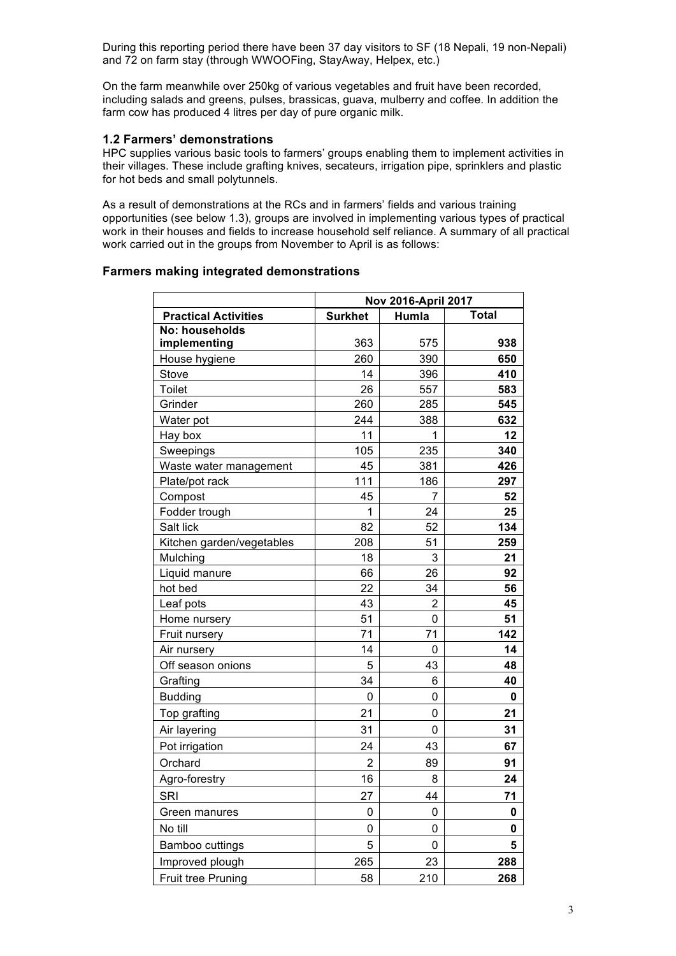During this reporting period there have been 37 day visitors to SF (18 Nepali, 19 non-Nepali) and 72 on farm stay (through WWOOFing, StayAway, Helpex, etc.)

On the farm meanwhile over 250kg of various vegetables and fruit have been recorded, including salads and greens, pulses, brassicas, guava, mulberry and coffee. In addition the farm cow has produced 4 litres per day of pure organic milk.

#### **1.2 Farmers' demonstrations**

HPC supplies various basic tools to farmers' groups enabling them to implement activities in their villages. These include grafting knives, secateurs, irrigation pipe, sprinklers and plastic for hot beds and small polytunnels.

As a result of demonstrations at the RCs and in farmers' fields and various training opportunities (see below 1.3), groups are involved in implementing various types of practical work in their houses and fields to increase household self reliance. A summary of all practical work carried out in the groups from November to April is as follows:

#### **Farmers making integrated demonstrations**

|                             | Nov 2016-April 2017 |                |              |  |
|-----------------------------|---------------------|----------------|--------------|--|
| <b>Practical Activities</b> | <b>Surkhet</b>      | Humla          | <b>Total</b> |  |
| No: households              |                     |                |              |  |
| implementing                | 363                 | 575            | 938          |  |
| House hygiene               | 260                 | 390            | 650          |  |
| Stove                       | 14                  | 396            | 410          |  |
| <b>Toilet</b>               | 26                  | 557            | 583          |  |
| Grinder                     | 260                 | 285            | 545          |  |
| Water pot                   | 244                 | 388            | 632          |  |
| Hay box                     | 11                  | 1              | 12           |  |
| Sweepings                   | 105                 | 235            | 340          |  |
| Waste water management      | 45                  | 381            | 426          |  |
| Plate/pot rack              | 111                 | 186            | 297          |  |
| Compost                     | 45                  | 7              | 52           |  |
| Fodder trough               | 1                   | 24             | 25           |  |
| Salt lick                   | 82                  | 52             | 134          |  |
| Kitchen garden/vegetables   | 208                 | 51             | 259          |  |
| Mulching                    | 18                  | 3              | 21           |  |
| Liquid manure               | 66                  | 26             | 92           |  |
| hot bed                     | 22                  | 34             | 56           |  |
| Leaf pots                   | 43                  | $\overline{2}$ | 45           |  |
| Home nursery                | 51                  | 0              | 51           |  |
| Fruit nursery               | 71                  | 71             | 142          |  |
| Air nursery                 | 14                  | 0              | 14           |  |
| Off season onions           | 5                   | 43             | 48           |  |
| Grafting                    | 34                  | 6              | 40           |  |
| <b>Budding</b>              | 0                   | 0              | 0            |  |
| Top grafting                | 21                  | 0              | 21           |  |
| Air layering                | 31                  | 0              | 31           |  |
| Pot irrigation              | 24                  | 43             | 67           |  |
| Orchard                     | 2                   | 89             | 91           |  |
| Agro-forestry               | 16                  | 8              | 24           |  |
| SRI                         | 27                  | 44             | 71           |  |
| Green manures               | 0                   | 0              | 0            |  |
| No till                     | 0                   | 0              | 0            |  |
| Bamboo cuttings             | 5                   | $\mathbf 0$    | 5            |  |
| Improved plough             | 265                 | 23             | 288          |  |
| <b>Fruit tree Pruning</b>   | 58                  | 210            | 268          |  |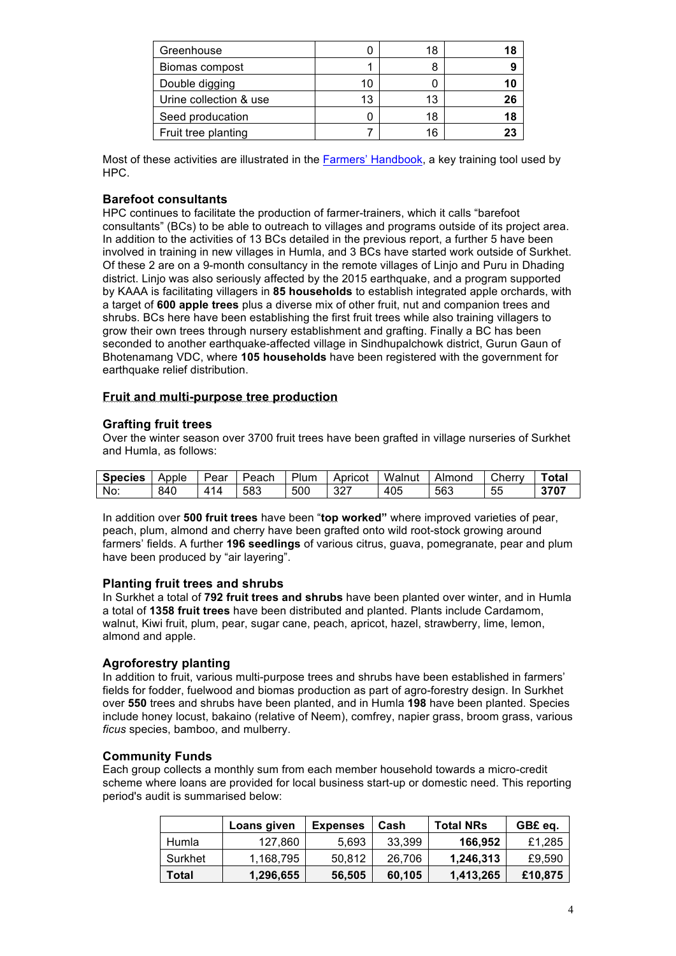| Greenhouse             |    | 18 | 18 |
|------------------------|----|----|----|
| Biomas compost         |    |    | 9  |
| Double digging         | 10 |    | 10 |
| Urine collection & use | 13 | 13 | 26 |
| Seed producation       |    | 18 | 18 |
| Fruit tree planting    |    | 16 |    |

Most of these activities are illustrated in the Farmers' Handbook, a key training tool used by HPC.

#### **Barefoot consultants**

HPC continues to facilitate the production of farmer-trainers, which it calls "barefoot consultants" (BCs) to be able to outreach to villages and programs outside of its project area. In addition to the activities of 13 BCs detailed in the previous report, a further 5 have been involved in training in new villages in Humla, and 3 BCs have started work outside of Surkhet. Of these 2 are on a 9-month consultancy in the remote villages of Linjo and Puru in Dhading district. Linjo was also seriously affected by the 2015 earthquake, and a program supported by KAAA is facilitating villagers in **85 households** to establish integrated apple orchards, with a target of **600 apple trees** plus a diverse mix of other fruit, nut and companion trees and shrubs. BCs here have been establishing the first fruit trees while also training villagers to grow their own trees through nursery establishment and grafting. Finally a BC has been seconded to another earthquake-affected village in Sindhupalchowk district, Gurun Gaun of Bhotenamang VDC, where **105 households** have been registered with the government for earthquake relief distribution.

#### **Fruit and multi-purpose tree production**

#### **Grafting fruit trees**

Over the winter season over 3700 fruit trees have been grafted in village nurseries of Surkhet and Humla, as follows:

| <b>Species</b> | Apple | Pear | Peach | Plum | Apricot | Walnut | Almond | Cherry | Total |
|----------------|-------|------|-------|------|---------|--------|--------|--------|-------|
| No:            | 840   | 414  | 583   | 500  | 327     | 405    | 563    | 55     | 3707  |

In addition over **500 fruit trees** have been "**top worked"** where improved varieties of pear, peach, plum, almond and cherry have been grafted onto wild root-stock growing around farmers' fields. A further **196 seedlings** of various citrus, guava, pomegranate, pear and plum have been produced by "air layering".

#### **Planting fruit trees and shrubs**

In Surkhet a total of **792 fruit trees and shrubs** have been planted over winter, and in Humla a total of **1358 fruit trees** have been distributed and planted. Plants include Cardamom, walnut, Kiwi fruit, plum, pear, sugar cane, peach, apricot, hazel, strawberry, lime, lemon, almond and apple.

#### **Agroforestry planting**

In addition to fruit, various multi-purpose trees and shrubs have been established in farmers' fields for fodder, fuelwood and biomas production as part of agro-forestry design. In Surkhet over **550** trees and shrubs have been planted, and in Humla **198** have been planted. Species include honey locust, bakaino (relative of Neem), comfrey, napier grass, broom grass, various *ficus* species, bamboo, and mulberry.

#### **Community Funds**

Each group collects a monthly sum from each member household towards a micro-credit scheme where loans are provided for local business start-up or domestic need. This reporting period's audit is summarised below:

|         | Loans given | <b>Expenses</b> | Cash   | <b>Total NRs</b> | GB£ eq. |
|---------|-------------|-----------------|--------|------------------|---------|
| Humla   | 127,860     | 5.693           | 33.399 | 166,952          | £1,285  |
| Surkhet | 1,168,795   | 50,812          | 26.706 | 1,246,313        | £9,590  |
| Total   | 1,296,655   | 56,505          | 60.105 | 1,413,265        | £10,875 |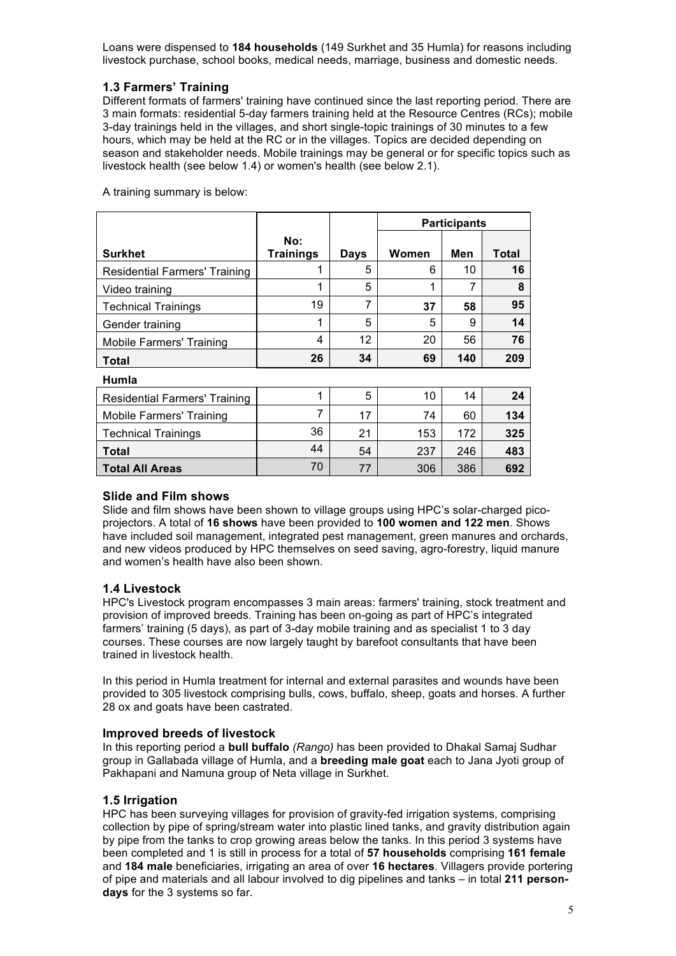Loans were dispensed to **184 households** (149 Surkhet and 35 Humla) for reasons including livestock purchase, school books, medical needs, marriage, business and domestic needs.

## **1.3 Farmers' Training**

Different formats of farmers' training have continued since the last reporting period. There are 3 main formats: residential 5-day farmers training held at the Resource Centres (RCs); mobile 3-day trainings held in the villages, and short single-topic trainings of 30 minutes to a few hours, which may be held at the RC or in the villages. Topics are decided depending on season and stakeholder needs. Mobile trainings may be general or for specific topics such as livestock health (see below 1.4) or women's health (see below 2.1).

A training summary is below:

|                                      |                         |      | <b>Participants</b> |     |       |
|--------------------------------------|-------------------------|------|---------------------|-----|-------|
| <b>Surkhet</b>                       | No:<br><b>Trainings</b> | Days | Women               | Men | Total |
| <b>Residential Farmers' Training</b> | 1                       | 5    | 6                   | 10  | 16    |
| Video training                       | 1                       | 5    | 1                   |     | 8     |
| <b>Technical Trainings</b>           | 19                      |      | 37                  | 58  | 95    |
| Gender training                      | 1                       | 5    | 5                   | 9   | 14    |
| Mobile Farmers' Training             | 4                       | 12   | 20                  | 56  | 76    |
| <b>Total</b>                         | 26                      | 34   | 69                  | 140 | 209   |
| Humla                                |                         |      |                     |     |       |
| Residential Farmers' Training        | 1                       | 5    | 10                  | 14  | 24    |

| <b>Residential Farmers' Training</b> |    | 5  | 10  | 14  | 24  |
|--------------------------------------|----|----|-----|-----|-----|
| <b>Mobile Farmers' Training</b>      |    | 17 | 74  | 60  | 134 |
| <b>Technical Trainings</b>           | 36 | 21 | 153 | 172 | 325 |
| <b>Total</b>                         | 44 | 54 | 237 | 246 | 483 |
| <b>Total All Areas</b>               | 70 | 77 | 306 | 386 | 692 |

## **Slide and Film shows**

Slide and film shows have been shown to village groups using HPC's solar-charged picoprojectors. A total of **16 shows** have been provided to **100 women and 122 men**. Shows have included soil management, integrated pest management, green manures and orchards, and new videos produced by HPC themselves on seed saving, agro-forestry, liquid manure and women's health have also been shown.

## **1.4 Livestock**

HPC's Livestock program encompasses 3 main areas: farmers' training, stock treatment and provision of improved breeds. Training has been on-going as part of HPC's integrated farmers' training (5 days), as part of 3-day mobile training and as specialist 1 to 3 day courses. These courses are now largely taught by barefoot consultants that have been trained in livestock health.

In this period in Humla treatment for internal and external parasites and wounds have been provided to 305 livestock comprising bulls, cows, buffalo, sheep, goats and horses. A further 28 ox and goats have been castrated.

#### **Improved breeds of livestock**

In this reporting period a **bull buffalo** *(Rango)* has been provided to Dhakal Samaj Sudhar group in Gallabada village of Humla, and a **breeding male goat** each to Jana Jyoti group of Pakhapani and Namuna group of Neta village in Surkhet.

## **1.5 Irrigation**

HPC has been surveying villages for provision of gravity-fed irrigation systems, comprising collection by pipe of spring/stream water into plastic lined tanks, and gravity distribution again by pipe from the tanks to crop growing areas below the tanks. In this period 3 systems have been completed and 1 is still in process for a total of **57 households** comprising **161 female** and **184 male** beneficiaries, irrigating an area of over **16 hectares**. Villagers provide portering of pipe and materials and all labour involved to dig pipelines and tanks – in total **211 persondays** for the 3 systems so far.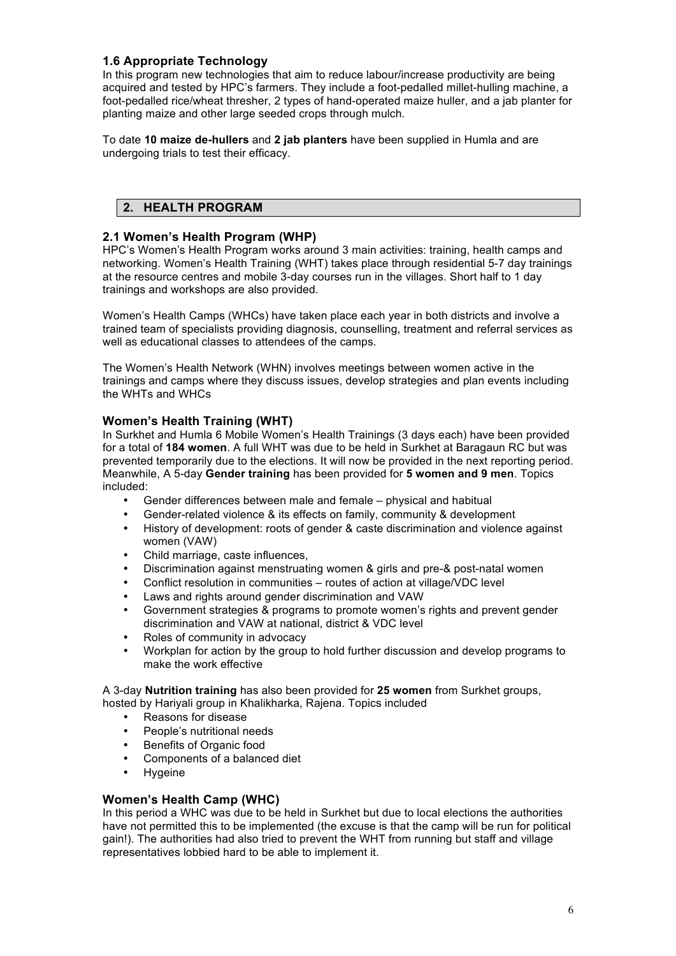## **1.6 Appropriate Technology**

In this program new technologies that aim to reduce labour/increase productivity are being acquired and tested by HPC's farmers. They include a foot-pedalled millet-hulling machine, a foot-pedalled rice/wheat thresher, 2 types of hand-operated maize huller, and a jab planter for planting maize and other large seeded crops through mulch.

To date **10 maize de-hullers** and **2 jab planters** have been supplied in Humla and are undergoing trials to test their efficacy.

# **2. HEALTH PROGRAM**

## **2.1 Women's Health Program (WHP)**

HPC's Women's Health Program works around 3 main activities: training, health camps and networking. Women's Health Training (WHT) takes place through residential 5-7 day trainings at the resource centres and mobile 3-day courses run in the villages. Short half to 1 day trainings and workshops are also provided.

Women's Health Camps (WHCs) have taken place each year in both districts and involve a trained team of specialists providing diagnosis, counselling, treatment and referral services as well as educational classes to attendees of the camps.

The Women's Health Network (WHN) involves meetings between women active in the trainings and camps where they discuss issues, develop strategies and plan events including the WHTs and WHCs

## **Women's Health Training (WHT)**

In Surkhet and Humla 6 Mobile Women's Health Trainings (3 days each) have been provided for a total of **184 women**. A full WHT was due to be held in Surkhet at Baragaun RC but was prevented temporarily due to the elections. It will now be provided in the next reporting period. Meanwhile, A 5-day **Gender training** has been provided for **5 women and 9 men**. Topics included:

- Gender differences between male and female physical and habitual
- Gender-related violence & its effects on family, community & development
- History of development: roots of gender & caste discrimination and violence against women (VAW)
- Child marriage, caste influences,
- Discrimination against menstruating women & girls and pre-& post-natal women
- Conflict resolution in communities routes of action at village/VDC level
- Laws and rights around gender discrimination and VAW
- Government strategies & programs to promote women's rights and prevent gender discrimination and VAW at national, district & VDC level
- Roles of community in advocacy
- Workplan for action by the group to hold further discussion and develop programs to make the work effective

A 3-day **Nutrition training** has also been provided for **25 women** from Surkhet groups, hosted by Hariyali group in Khalikharka, Rajena. Topics included

- Reasons for disease
- People's nutritional needs
- Benefits of Organic food
- Components of a balanced diet
- **Hygeine**

#### **Women's Health Camp (WHC)**

In this period a WHC was due to be held in Surkhet but due to local elections the authorities have not permitted this to be implemented (the excuse is that the camp will be run for political gain!). The authorities had also tried to prevent the WHT from running but staff and village representatives lobbied hard to be able to implement it.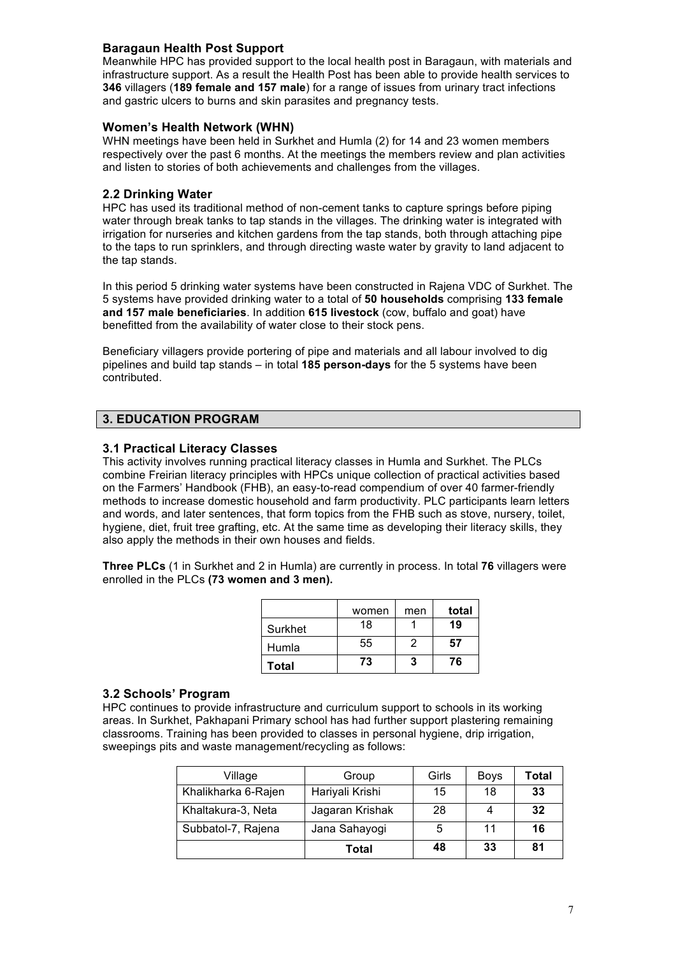## **Baragaun Health Post Support**

Meanwhile HPC has provided support to the local health post in Baragaun, with materials and infrastructure support. As a result the Health Post has been able to provide health services to **346** villagers (**189 female and 157 male**) for a range of issues from urinary tract infections and gastric ulcers to burns and skin parasites and pregnancy tests.

#### **Women's Health Network (WHN)**

WHN meetings have been held in Surkhet and Humla (2) for 14 and 23 women members respectively over the past 6 months. At the meetings the members review and plan activities and listen to stories of both achievements and challenges from the villages.

## **2.2 Drinking Water**

HPC has used its traditional method of non-cement tanks to capture springs before piping water through break tanks to tap stands in the villages. The drinking water is integrated with irrigation for nurseries and kitchen gardens from the tap stands, both through attaching pipe to the taps to run sprinklers, and through directing waste water by gravity to land adjacent to the tap stands.

In this period 5 drinking water systems have been constructed in Rajena VDC of Surkhet. The 5 systems have provided drinking water to a total of **50 households** comprising **133 female and 157 male beneficiaries**. In addition **615 livestock** (cow, buffalo and goat) have benefitted from the availability of water close to their stock pens.

Beneficiary villagers provide portering of pipe and materials and all labour involved to dig pipelines and build tap stands – in total **185 person-days** for the 5 systems have been contributed.

## **3. EDUCATION PROGRAM**

## **3.1 Practical Literacy Classes**

This activity involves running practical literacy classes in Humla and Surkhet. The PLCs combine Freirian literacy principles with HPCs unique collection of practical activities based on the Farmers' Handbook (FHB), an easy-to-read compendium of over 40 farmer-friendly methods to increase domestic household and farm productivity. PLC participants learn letters and words, and later sentences, that form topics from the FHB such as stove, nursery, toilet, hygiene, diet, fruit tree grafting, etc. At the same time as developing their literacy skills, they also apply the methods in their own houses and fields.

**Three PLCs** (1 in Surkhet and 2 in Humla) are currently in process. In total **76** villagers were enrolled in the PLCs **(73 women and 3 men).**

|              | women | men | total |
|--------------|-------|-----|-------|
| Surkhet      | 18    |     | 19    |
| Humla        | 55    | 2   | 57    |
| <b>Total</b> | 73    | 3   | 76    |

#### **3.2 Schools' Program**

HPC continues to provide infrastructure and curriculum support to schools in its working areas. In Surkhet, Pakhapani Primary school has had further support plastering remaining classrooms. Training has been provided to classes in personal hygiene, drip irrigation, sweepings pits and waste management/recycling as follows:

| Village             | Group           | Girls | <b>Boys</b> | Total |
|---------------------|-----------------|-------|-------------|-------|
| Khalikharka 6-Rajen | Hariyali Krishi | 15    | 18          | 33    |
| Khaltakura-3, Neta  | Jagaran Krishak | 28    |             | 32    |
| Subbatol-7, Rajena  | Jana Sahayogi   | 5     | 11          | 16    |
|                     | Total           | 48    | 33          | 81    |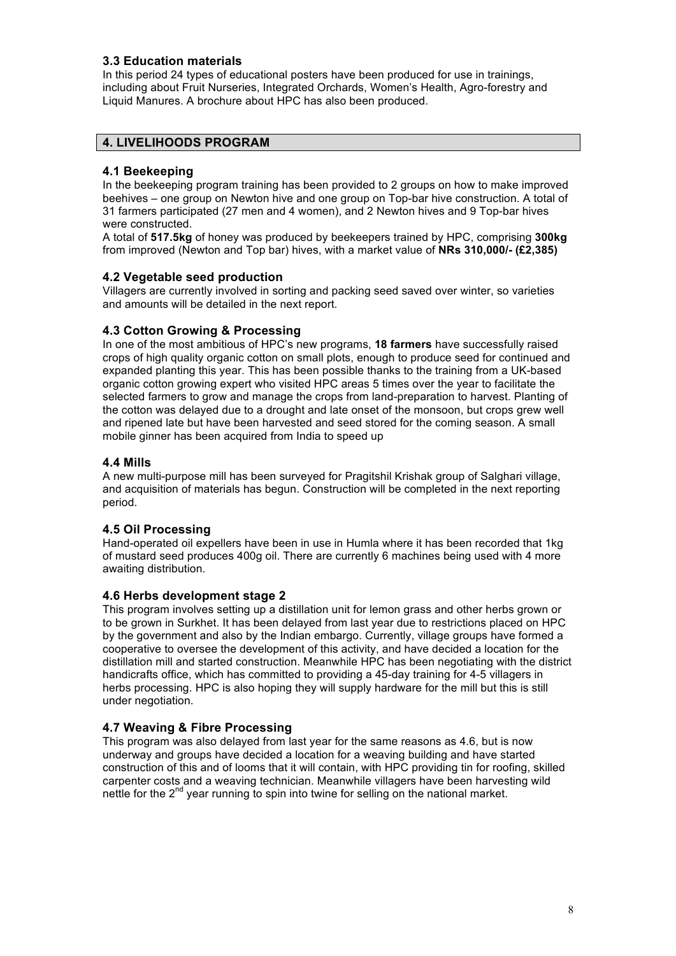## **3.3 Education materials**

In this period 24 types of educational posters have been produced for use in trainings, including about Fruit Nurseries, Integrated Orchards, Women's Health, Agro-forestry and Liquid Manures. A brochure about HPC has also been produced.

## **4. LIVELIHOODS PROGRAM**

#### **4.1 Beekeeping**

In the beekeeping program training has been provided to 2 groups on how to make improved beehives – one group on Newton hive and one group on Top-bar hive construction. A total of 31 farmers participated (27 men and 4 women), and 2 Newton hives and 9 Top-bar hives were constructed.

A total of **517.5kg** of honey was produced by beekeepers trained by HPC, comprising **300kg** from improved (Newton and Top bar) hives, with a market value of **NRs 310,000/- (£2,385)**

#### **4.2 Vegetable seed production**

Villagers are currently involved in sorting and packing seed saved over winter, so varieties and amounts will be detailed in the next report.

#### **4.3 Cotton Growing & Processing**

In one of the most ambitious of HPC's new programs, **18 farmers** have successfully raised crops of high quality organic cotton on small plots, enough to produce seed for continued and expanded planting this year. This has been possible thanks to the training from a UK-based organic cotton growing expert who visited HPC areas 5 times over the year to facilitate the selected farmers to grow and manage the crops from land-preparation to harvest. Planting of the cotton was delayed due to a drought and late onset of the monsoon, but crops grew well and ripened late but have been harvested and seed stored for the coming season. A small mobile ginner has been acquired from India to speed up

#### **4.4 Mills**

A new multi-purpose mill has been surveyed for Pragitshil Krishak group of Salghari village, and acquisition of materials has begun. Construction will be completed in the next reporting period.

#### **4.5 Oil Processing**

Hand-operated oil expellers have been in use in Humla where it has been recorded that 1kg of mustard seed produces 400g oil. There are currently 6 machines being used with 4 more awaiting distribution.

#### **4.6 Herbs development stage 2**

This program involves setting up a distillation unit for lemon grass and other herbs grown or to be grown in Surkhet. It has been delayed from last year due to restrictions placed on HPC by the government and also by the Indian embargo. Currently, village groups have formed a cooperative to oversee the development of this activity, and have decided a location for the distillation mill and started construction. Meanwhile HPC has been negotiating with the district handicrafts office, which has committed to providing a 45-day training for 4-5 villagers in herbs processing. HPC is also hoping they will supply hardware for the mill but this is still under negotiation.

#### **4.7 Weaving & Fibre Processing**

This program was also delayed from last year for the same reasons as 4.6, but is now underway and groups have decided a location for a weaving building and have started construction of this and of looms that it will contain, with HPC providing tin for roofing, skilled carpenter costs and a weaving technician. Meanwhile villagers have been harvesting wild nettle for the  $2^{nd}$  year running to spin into twine for selling on the national market.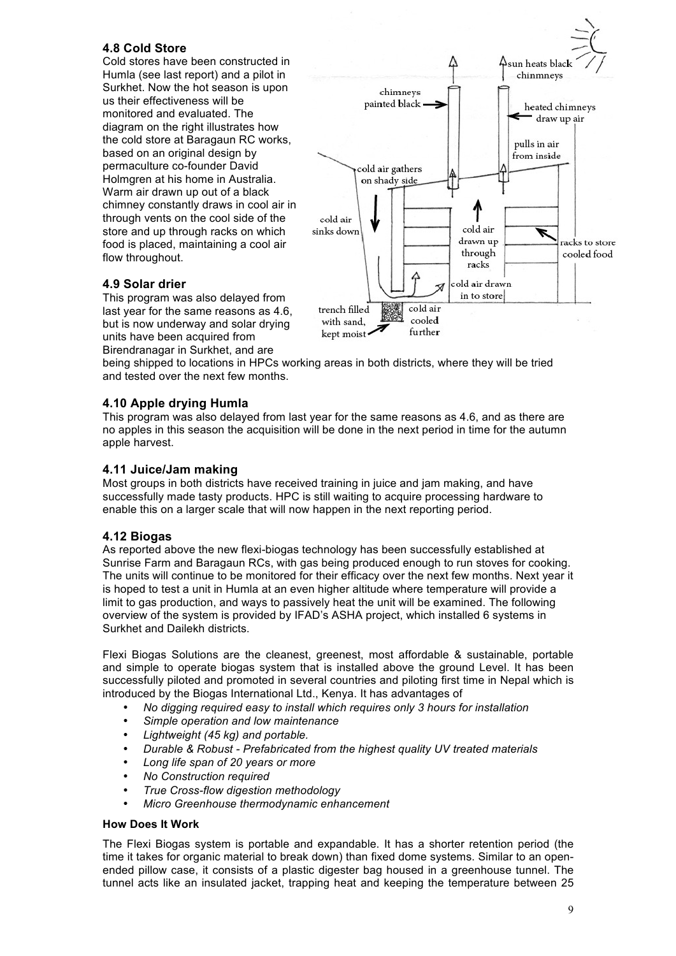## **4.8 Cold Store**

Cold stores have been constructed in Humla (see last report) and a pilot in Surkhet. Now the hot season is upon us their effectiveness will be monitored and evaluated. The diagram on the right illustrates how the cold store at Baragaun RC works, based on an original design by permaculture co-founder David Holmgren at his home in Australia. Warm air drawn up out of a black chimney constantly draws in cool air in through vents on the cool side of the store and up through racks on which food is placed, maintaining a cool air flow throughout.



## **4.9 Solar drier**

This program was also delayed from last year for the same reasons as 4.6, but is now underway and solar drying units have been acquired from Birendranagar in Surkhet, and are

being shipped to locations in HPCs working areas in both districts, where they will be tried and tested over the next few months.

#### **4.10 Apple drying Humla**

This program was also delayed from last year for the same reasons as 4.6, and as there are no apples in this season the acquisition will be done in the next period in time for the autumn apple harvest.

#### **4.11 Juice/Jam making**

Most groups in both districts have received training in juice and jam making, and have successfully made tasty products. HPC is still waiting to acquire processing hardware to enable this on a larger scale that will now happen in the next reporting period.

#### **4.12 Biogas**

As reported above the new flexi-biogas technology has been successfully established at Sunrise Farm and Baragaun RCs, with gas being produced enough to run stoves for cooking. The units will continue to be monitored for their efficacy over the next few months. Next year it is hoped to test a unit in Humla at an even higher altitude where temperature will provide a limit to gas production, and ways to passively heat the unit will be examined. The following overview of the system is provided by IFAD's ASHA project, which installed 6 systems in Surkhet and Dailekh districts.

Flexi Biogas Solutions are the cleanest, greenest, most affordable & sustainable, portable and simple to operate biogas system that is installed above the ground Level. It has been successfully piloted and promoted in several countries and piloting first time in Nepal which is introduced by the Biogas International Ltd., Kenya. It has advantages of

- *No digging required easy to install which requires only 3 hours for installation*
- *Simple operation and low maintenance*
- *Lightweight (45 kg) and portable.*
- *Durable & Robust - Prefabricated from the highest quality UV treated materials*
- *Long life span of 20 years or more*
- *No Construction required*
- *True Cross-flow digestion methodology*
- *Micro Greenhouse thermodynamic enhancement*

#### **How Does It Work**

The Flexi Biogas system is portable and expandable. It has a shorter retention period (the time it takes for organic material to break down) than fixed dome systems. Similar to an openended pillow case, it consists of a plastic digester bag housed in a greenhouse tunnel. The tunnel acts like an insulated jacket, trapping heat and keeping the temperature between 25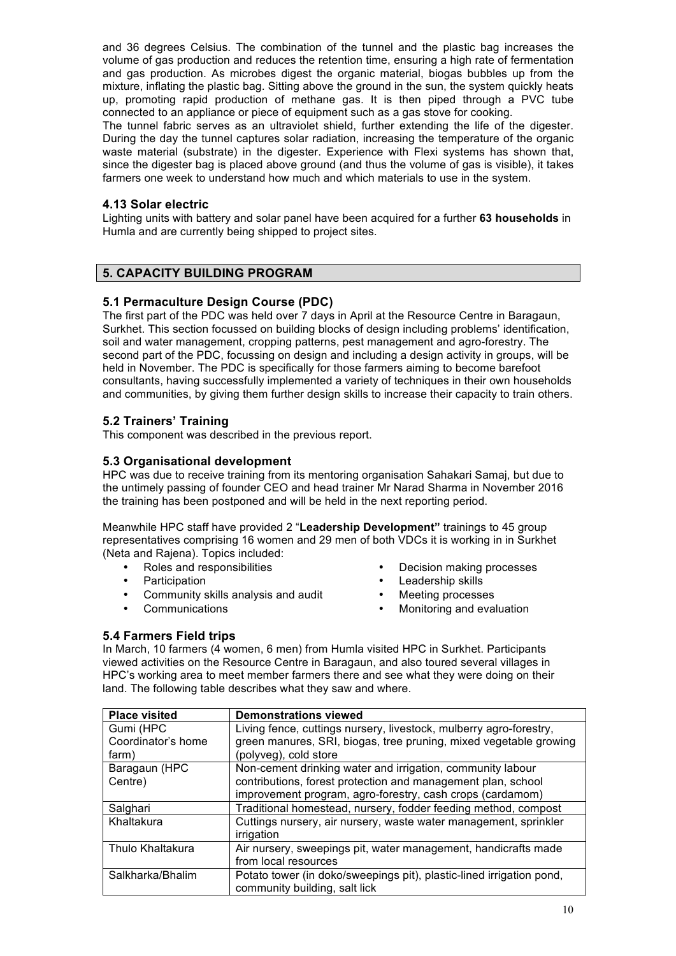and 36 degrees Celsius. The combination of the tunnel and the plastic bag increases the volume of gas production and reduces the retention time, ensuring a high rate of fermentation and gas production. As microbes digest the organic material, biogas bubbles up from the mixture, inflating the plastic bag. Sitting above the ground in the sun, the system quickly heats up, promoting rapid production of methane gas. It is then piped through a PVC tube connected to an appliance or piece of equipment such as a gas stove for cooking.

The tunnel fabric serves as an ultraviolet shield, further extending the life of the digester. During the day the tunnel captures solar radiation, increasing the temperature of the organic waste material (substrate) in the digester. Experience with Flexi systems has shown that, since the digester bag is placed above ground (and thus the volume of gas is visible), it takes farmers one week to understand how much and which materials to use in the system.

#### **4.13 Solar electric**

Lighting units with battery and solar panel have been acquired for a further **63 households** in Humla and are currently being shipped to project sites.

## **5. CAPACITY BUILDING PROGRAM**

## **5.1 Permaculture Design Course (PDC)**

The first part of the PDC was held over 7 days in April at the Resource Centre in Baragaun, Surkhet. This section focussed on building blocks of design including problems' identification, soil and water management, cropping patterns, pest management and agro-forestry. The second part of the PDC, focussing on design and including a design activity in groups, will be held in November. The PDC is specifically for those farmers aiming to become barefoot consultants, having successfully implemented a variety of techniques in their own households and communities, by giving them further design skills to increase their capacity to train others.

## **5.2 Trainers' Training**

This component was described in the previous report.

## **5.3 Organisational development**

HPC was due to receive training from its mentoring organisation Sahakari Samaj, but due to the untimely passing of founder CEO and head trainer Mr Narad Sharma in November 2016 the training has been postponed and will be held in the next reporting period.

Meanwhile HPC staff have provided 2 "**Leadership Development"** trainings to 45 group representatives comprising 16 women and 29 men of both VDCs it is working in in Surkhet (Neta and Rajena). Topics included:

- 
- 
- Community skills analysis and audit Meeting processes
- 
- Roles and responsibilities Decision making processes
- Participation Leadership skills
	-
	- Communications Monitoring and evaluation

#### **5.4 Farmers Field trips**

In March, 10 farmers (4 women, 6 men) from Humla visited HPC in Surkhet. Participants viewed activities on the Resource Centre in Baragaun, and also toured several villages in HPC's working area to meet member farmers there and see what they were doing on their land. The following table describes what they saw and where.

| <b>Place visited</b> | <b>Demonstrations viewed</b>                                         |
|----------------------|----------------------------------------------------------------------|
| Gumi (HPC            | Living fence, cuttings nursery, livestock, mulberry agro-forestry,   |
| Coordinator's home   | green manures, SRI, biogas, tree pruning, mixed vegetable growing    |
| farm)                | (polyveg), cold store                                                |
| Baragaun (HPC        | Non-cement drinking water and irrigation, community labour           |
| Centre)              | contributions, forest protection and management plan, school         |
|                      | improvement program, agro-forestry, cash crops (cardamom)            |
| Salghari             | Traditional homestead, nursery, fodder feeding method, compost       |
| Khaltakura           | Cuttings nursery, air nursery, waste water management, sprinkler     |
|                      | irrigation                                                           |
| Thulo Khaltakura     | Air nursery, sweepings pit, water management, handicrafts made       |
|                      | from local resources                                                 |
| Salkharka/Bhalim     | Potato tower (in doko/sweepings pit), plastic-lined irrigation pond, |
|                      | community building, salt lick                                        |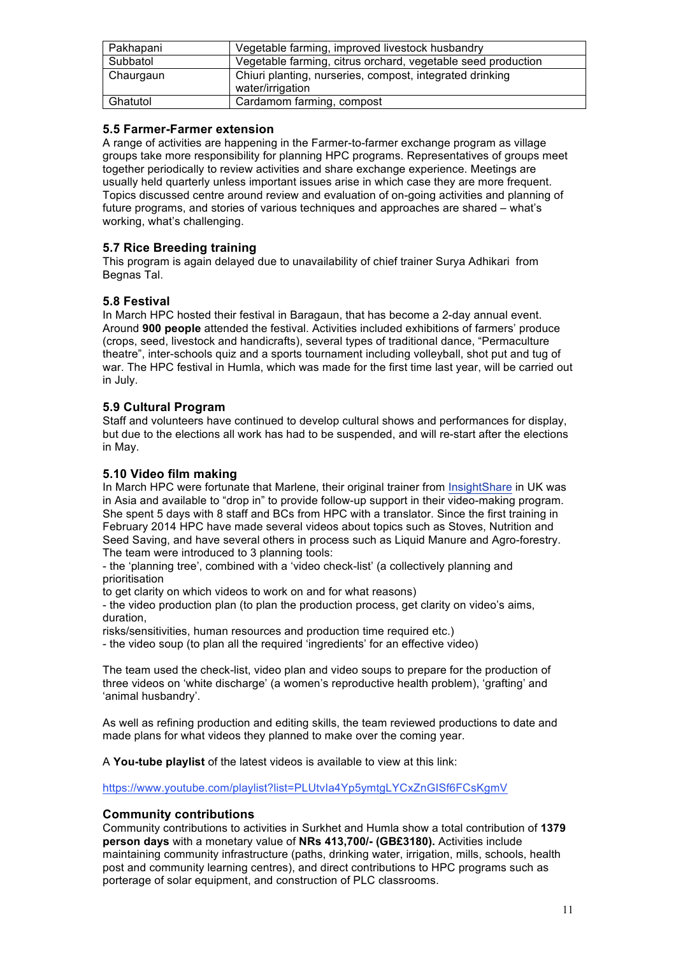| Pakhapani | Vegetable farming, improved livestock husbandry                              |
|-----------|------------------------------------------------------------------------------|
| Subbatol  | Vegetable farming, citrus orchard, vegetable seed production                 |
| Chaurgaun | Chiuri planting, nurseries, compost, integrated drinking<br>water/irrigation |
| Ghatutol  | Cardamom farming, compost                                                    |

## **5.5 Farmer-Farmer extension**

A range of activities are happening in the Farmer-to-farmer exchange program as village groups take more responsibility for planning HPC programs. Representatives of groups meet together periodically to review activities and share exchange experience. Meetings are usually held quarterly unless important issues arise in which case they are more frequent. Topics discussed centre around review and evaluation of on-going activities and planning of future programs, and stories of various techniques and approaches are shared – what's working, what's challenging.

# **5.7 Rice Breeding training**

This program is again delayed due to unavailability of chief trainer Surya Adhikari from Begnas Tal.

## **5.8 Festival**

In March HPC hosted their festival in Baragaun, that has become a 2-day annual event. Around **900 people** attended the festival. Activities included exhibitions of farmers' produce (crops, seed, livestock and handicrafts), several types of traditional dance, "Permaculture theatre", inter-schools quiz and a sports tournament including volleyball, shot put and tug of war. The HPC festival in Humla, which was made for the first time last year, will be carried out in July.

# **5.9 Cultural Program**

Staff and volunteers have continued to develop cultural shows and performances for display, but due to the elections all work has had to be suspended, and will re-start after the elections in May.

## **5.10 Video film making**

In March HPC were fortunate that Marlene, their original trainer from InsightShare in UK was in Asia and available to "drop in" to provide follow-up support in their video-making program. She spent 5 days with 8 staff and BCs from HPC with a translator. Since the first training in February 2014 HPC have made several videos about topics such as Stoves, Nutrition and Seed Saving, and have several others in process such as Liquid Manure and Agro-forestry. The team were introduced to 3 planning tools:

- the 'planning tree', combined with a 'video check-list' (a collectively planning and prioritisation

to get clarity on which videos to work on and for what reasons)

- the video production plan (to plan the production process, get clarity on video's aims, duration,

risks/sensitivities, human resources and production time required etc.)

- the video soup (to plan all the required 'ingredients' for an effective video)

The team used the check-list, video plan and video soups to prepare for the production of three videos on 'white discharge' (a women's reproductive health problem), 'grafting' and 'animal husbandry'.

As well as refining production and editing skills, the team reviewed productions to date and made plans for what videos they planned to make over the coming year.

A **You-tube playlist** of the latest videos is available to view at this link:

https://www.youtube.com/playlist?list=PLUtvIa4Yp5ymtgLYCxZnGISf6FCsKgmV

## **Community contributions**

Community contributions to activities in Surkhet and Humla show a total contribution of **1379 person days** with a monetary value of **NRs 413,700/- (GB£3180).** Activities include maintaining community infrastructure (paths, drinking water, irrigation, mills, schools, health post and community learning centres), and direct contributions to HPC programs such as porterage of solar equipment, and construction of PLC classrooms.